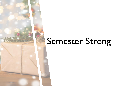# Semester Strong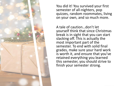

You did it! You survived your first semester of all-nighters, pop quizzes, random roommates, living on your own, and so much more.

A tale of caution…don't let yourself think that since Christmas break is in sight that you can start slacking off. This is actually the most important part of the semester. To end with solid final grades, make sure your hard work is worth it, and ensure that you've retained everything you learned this semester, you should strive to finish your semester strong.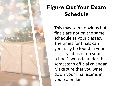

## **Figure Out Your Exam Schedule**

This may seem obvious but finals are not on the same schedule as your classes. The times for finals can generally be found in your class syllabus or on your school's website under the semester's official calendar. Make sure that you write down your final exams in your calendar.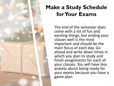

### **Make a Study Schedule for Your Exams**

The end of the semester does come with a lot of fun and exciting things, but ending your classes well is the most important and should be the main focus of each day. Go ahead and write down times in which you plan to study and finish assignments for each of your classes. You will have less anxiety about being ready for your exams because you have a game plan.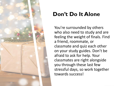

#### **Don't Do It Alone**

You're surrounded by others who also need to study and are feeling the weight of finals. Find a friend, roommate, or classmate and quiz each other on your study guides. Don't be afraid to ask for help. Your classmates are right alongside you through these last few stressful days, so work together towards success!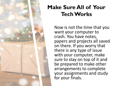

## **Make Sure All of Your Tech Works**

Now is not the time that you want your computer to crash. You have notes, papers and projects all saved on there. If you worry that there is any type of issue with your computer, make sure to stay on top of it and be prepared to make other arrangements to complete your assignments and study for your finals.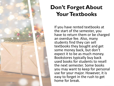

### **Don't Forget About Your Textbooks**

If you have rented textbooks at the start of the semester, you have to return them or be charged an overdue fee. Also, many students find they can sell textbooks they bought and get some money back, but don't expect it to be as much money. Bookstores typically buy back used books for students to resell the next semester. Some books you may want to keep for personal use for your major. However, it is easy to forget in the rush to get home for break.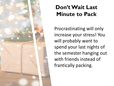

### **Don't Wait Last Minute to Pack**

Procrastinating will only increase your stress! You will probably want to spend your last nights of the semester hanging out with friends instead of frantically packing.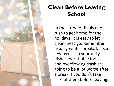

## **Clean Before Leaving School**

In the stress of finals and rush to get home for the holidays, it is easy to let cleanliness go. Remember usually winter breaks lasts a few weeks so your dirty dishes, perishable foods, and overflowing trash are going to be a lot worse after a break if you don't take care of them before leaving.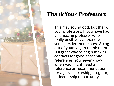

#### **Thank Your Professors**

This may sound odd, but thank your professors. If you have had an amazing professor who really positively affected your semester, let them know. Going out of your way to thank them is a great way to begin making contacts for good academic references. You never know when you might need a reference or recommendation for a job, scholarship, program, or leadership opportunity.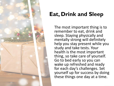

## **Eat, Drink and Sleep**

The most important thing is to remember to eat, drink and sleep. Staying physically and mentally strong will definitely help you stay present while you study and take tests. Your health is the most important thing, so take care of yourself. Go to bed early so you can wake up refreshed and ready for each day's challenges. Set yourself up for success by doing these things one day at a time.